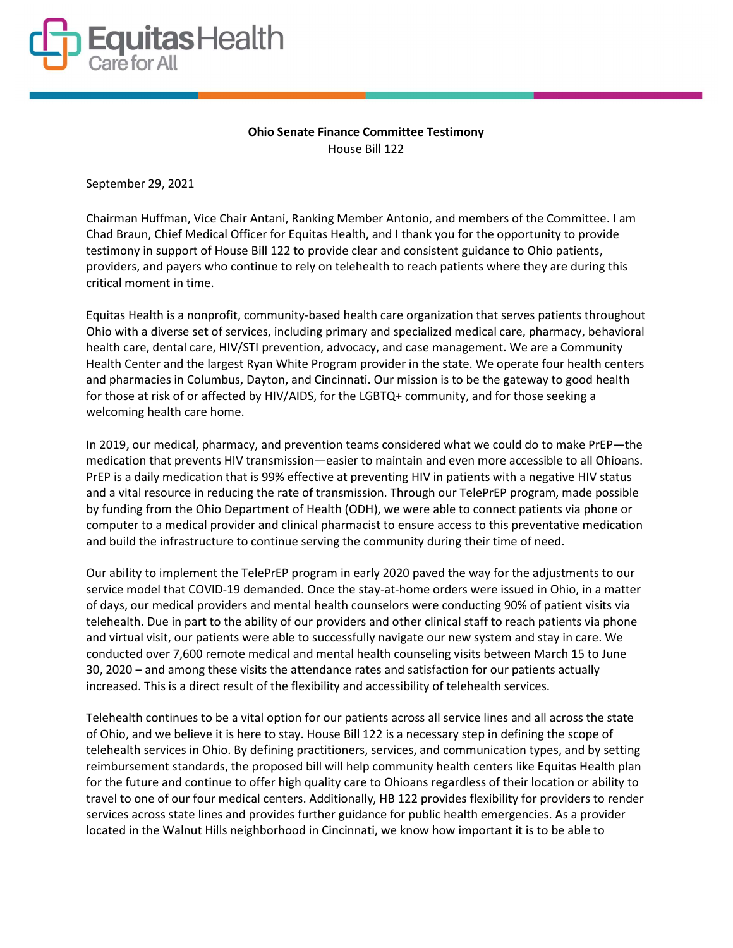

## Ohio Senate Finance Committee Testimony House Bill 122

September 29, 2021

Chairman Huffman, Vice Chair Antani, Ranking Member Antonio, and members of the Committee. I am Chad Braun, Chief Medical Officer for Equitas Health, and I thank you for the opportunity to provide testimony in support of House Bill 122 to provide clear and consistent guidance to Ohio patients, providers, and payers who continue to rely on telehealth to reach patients where they are during this critical moment in time.

Equitas Health is a nonprofit, community-based health care organization that serves patients throughout Ohio with a diverse set of services, including primary and specialized medical care, pharmacy, behavioral health care, dental care, HIV/STI prevention, advocacy, and case management. We are a Community Health Center and the largest Ryan White Program provider in the state. We operate four health centers and pharmacies in Columbus, Dayton, and Cincinnati. Our mission is to be the gateway to good health for those at risk of or affected by HIV/AIDS, for the LGBTQ+ community, and for those seeking a welcoming health care home.

In 2019, our medical, pharmacy, and prevention teams considered what we could do to make PrEP—the medication that prevents HIV transmission—easier to maintain and even more accessible to all Ohioans. PrEP is a daily medication that is 99% effective at preventing HIV in patients with a negative HIV status and a vital resource in reducing the rate of transmission. Through our TelePrEP program, made possible by funding from the Ohio Department of Health (ODH), we were able to connect patients via phone or computer to a medical provider and clinical pharmacist to ensure access to this preventative medication and build the infrastructure to continue serving the community during their time of need.

Our ability to implement the TelePrEP program in early 2020 paved the way for the adjustments to our service model that COVID-19 demanded. Once the stay-at-home orders were issued in Ohio, in a matter of days, our medical providers and mental health counselors were conducting 90% of patient visits via telehealth. Due in part to the ability of our providers and other clinical staff to reach patients via phone and virtual visit, our patients were able to successfully navigate our new system and stay in care. We conducted over 7,600 remote medical and mental health counseling visits between March 15 to June 30, 2020 – and among these visits the attendance rates and satisfaction for our patients actually increased. This is a direct result of the flexibility and accessibility of telehealth services.

Telehealth continues to be a vital option for our patients across all service lines and all across the state of Ohio, and we believe it is here to stay. House Bill 122 is a necessary step in defining the scope of telehealth services in Ohio. By defining practitioners, services, and communication types, and by setting reimbursement standards, the proposed bill will help community health centers like Equitas Health plan for the future and continue to offer high quality care to Ohioans regardless of their location or ability to travel to one of our four medical centers. Additionally, HB 122 provides flexibility for providers to render services across state lines and provides further guidance for public health emergencies. As a provider located in the Walnut Hills neighborhood in Cincinnati, we know how important it is to be able to